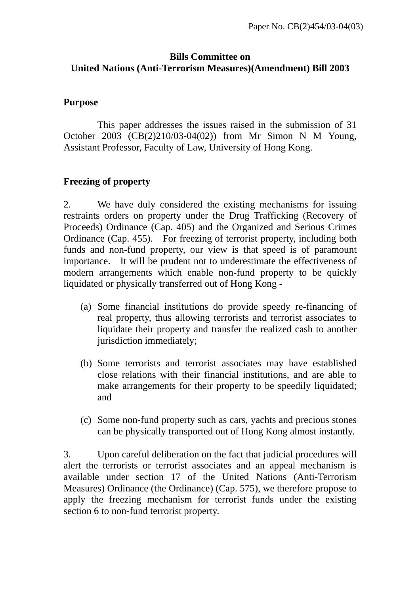## **Bills Committee on United Nations (Anti-Terrorism Measures)(Amendment) Bill 2003**

## **Purpose**

 This paper addresses the issues raised in the submission of 31 October 2003 (CB(2)210/03-04(02)) from Mr Simon N M Young, Assistant Professor, Faculty of Law, University of Hong Kong.

## **Freezing of property**

2. We have duly considered the existing mechanisms for issuing restraints orders on property under the Drug Trafficking (Recovery of Proceeds) Ordinance (Cap. 405) and the Organized and Serious Crimes Ordinance (Cap. 455). For freezing of terrorist property, including both funds and non-fund property, our view is that speed is of paramount importance. It will be prudent not to underestimate the effectiveness of modern arrangements which enable non-fund property to be quickly liquidated or physically transferred out of Hong Kong -

- (a) Some financial institutions do provide speedy re-financing of real property, thus allowing terrorists and terrorist associates to liquidate their property and transfer the realized cash to another jurisdiction immediately;
- (b) Some terrorists and terrorist associates may have established close relations with their financial institutions, and are able to make arrangements for their property to be speedily liquidated; and
- (c) Some non-fund property such as cars, yachts and precious stones can be physically transported out of Hong Kong almost instantly.

3. Upon careful deliberation on the fact that judicial procedures will alert the terrorists or terrorist associates and an appeal mechanism is available under section 17 of the United Nations (Anti-Terrorism Measures) Ordinance (the Ordinance) (Cap. 575), we therefore propose to apply the freezing mechanism for terrorist funds under the existing section 6 to non-fund terrorist property.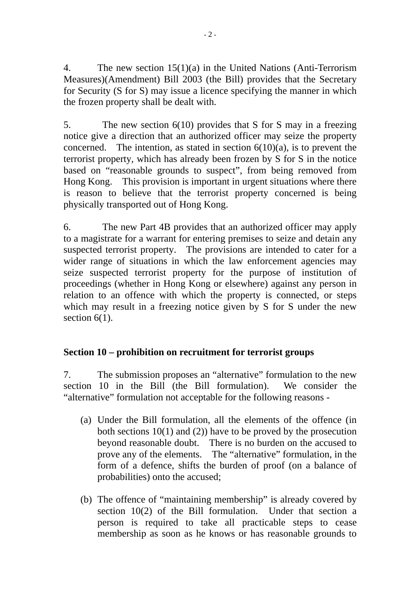4. The new section 15(1)(a) in the United Nations (Anti-Terrorism Measures)(Amendment) Bill 2003 (the Bill) provides that the Secretary for Security (S for S) may issue a licence specifying the manner in which the frozen property shall be dealt with.

5. The new section 6(10) provides that S for S may in a freezing notice give a direction that an authorized officer may seize the property concerned. The intention, as stated in section  $6(10)(a)$ , is to prevent the terrorist property, which has already been frozen by S for S in the notice based on "reasonable grounds to suspect", from being removed from Hong Kong. This provision is important in urgent situations where there is reason to believe that the terrorist property concerned is being physically transported out of Hong Kong.

6. The new Part 4B provides that an authorized officer may apply to a magistrate for a warrant for entering premises to seize and detain any suspected terrorist property. The provisions are intended to cater for a wider range of situations in which the law enforcement agencies may seize suspected terrorist property for the purpose of institution of proceedings (whether in Hong Kong or elsewhere) against any person in relation to an offence with which the property is connected, or steps which may result in a freezing notice given by S for S under the new section  $6(1)$ .

# **Section 10 – prohibition on recruitment for terrorist groups**

7. The submission proposes an "alternative" formulation to the new section 10 in the Bill (the Bill formulation). We consider the "alternative" formulation not acceptable for the following reasons -

- (a) Under the Bill formulation, all the elements of the offence (in both sections  $10(1)$  and (2)) have to be proved by the prosecution beyond reasonable doubt. There is no burden on the accused to prove any of the elements. The "alternative" formulation, in the form of a defence, shifts the burden of proof (on a balance of probabilities) onto the accused;
- (b) The offence of "maintaining membership" is already covered by section 10(2) of the Bill formulation. Under that section a person is required to take all practicable steps to cease membership as soon as he knows or has reasonable grounds to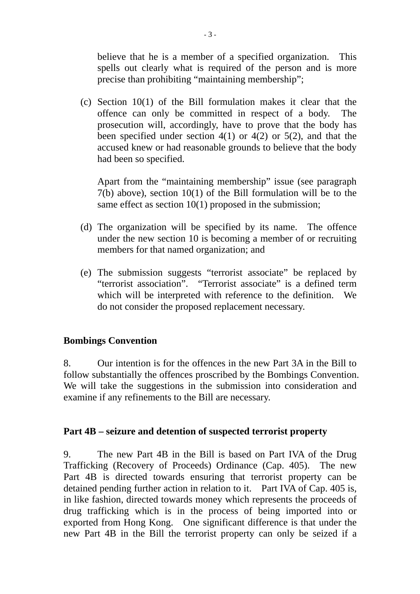believe that he is a member of a specified organization. This spells out clearly what is required of the person and is more precise than prohibiting "maintaining membership";

(c) Section 10(1) of the Bill formulation makes it clear that the offence can only be committed in respect of a body. The prosecution will, accordingly, have to prove that the body has been specified under section  $4(1)$  or  $4(2)$  or  $5(2)$ , and that the accused knew or had reasonable grounds to believe that the body had been so specified.

Apart from the "maintaining membership" issue (see paragraph 7(b) above), section 10(1) of the Bill formulation will be to the same effect as section 10(1) proposed in the submission:

- (d) The organization will be specified by its name. The offence under the new section 10 is becoming a member of or recruiting members for that named organization; and
- (e) The submission suggests "terrorist associate" be replaced by "terrorist association". "Terrorist associate" is a defined term which will be interpreted with reference to the definition. We do not consider the proposed replacement necessary.

### **Bombings Convention**

8. Our intention is for the offences in the new Part 3A in the Bill to follow substantially the offences proscribed by the Bombings Convention. We will take the suggestions in the submission into consideration and examine if any refinements to the Bill are necessary.

### **Part 4B – seizure and detention of suspected terrorist property**

9. The new Part 4B in the Bill is based on Part IVA of the Drug Trafficking (Recovery of Proceeds) Ordinance (Cap. 405). The new Part 4B is directed towards ensuring that terrorist property can be detained pending further action in relation to it. Part IVA of Cap. 405 is, in like fashion, directed towards money which represents the proceeds of drug trafficking which is in the process of being imported into or exported from Hong Kong. One significant difference is that under the new Part 4B in the Bill the terrorist property can only be seized if a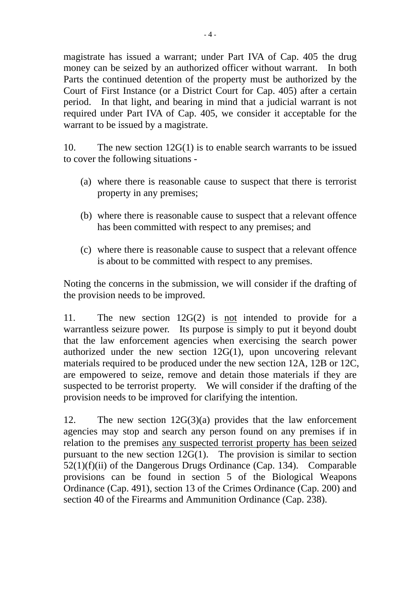magistrate has issued a warrant; under Part IVA of Cap. 405 the drug money can be seized by an authorized officer without warrant. In both Parts the continued detention of the property must be authorized by the Court of First Instance (or a District Court for Cap. 405) after a certain period. In that light, and bearing in mind that a judicial warrant is not required under Part IVA of Cap. 405, we consider it acceptable for the warrant to be issued by a magistrate.

10. The new section 12G(1) is to enable search warrants to be issued to cover the following situations -

- (a) where there is reasonable cause to suspect that there is terrorist property in any premises;
- (b) where there is reasonable cause to suspect that a relevant offence has been committed with respect to any premises; and
- (c) where there is reasonable cause to suspect that a relevant offence is about to be committed with respect to any premises.

Noting the concerns in the submission, we will consider if the drafting of the provision needs to be improved.

11. The new section 12G(2) is not intended to provide for a warrantless seizure power. Its purpose is simply to put it beyond doubt that the law enforcement agencies when exercising the search power authorized under the new section 12G(1), upon uncovering relevant materials required to be produced under the new section 12A, 12B or 12C, are empowered to seize, remove and detain those materials if they are suspected to be terrorist property. We will consider if the drafting of the provision needs to be improved for clarifying the intention.

12. The new section 12G(3)(a) provides that the law enforcement agencies may stop and search any person found on any premises if in relation to the premises any suspected terrorist property has been seized pursuant to the new section 12G(1). The provision is similar to section 52(1)(f)(ii) of the Dangerous Drugs Ordinance (Cap. 134). Comparable provisions can be found in section 5 of the Biological Weapons Ordinance (Cap. 491), section 13 of the Crimes Ordinance (Cap. 200) and section 40 of the Firearms and Ammunition Ordinance (Cap. 238).